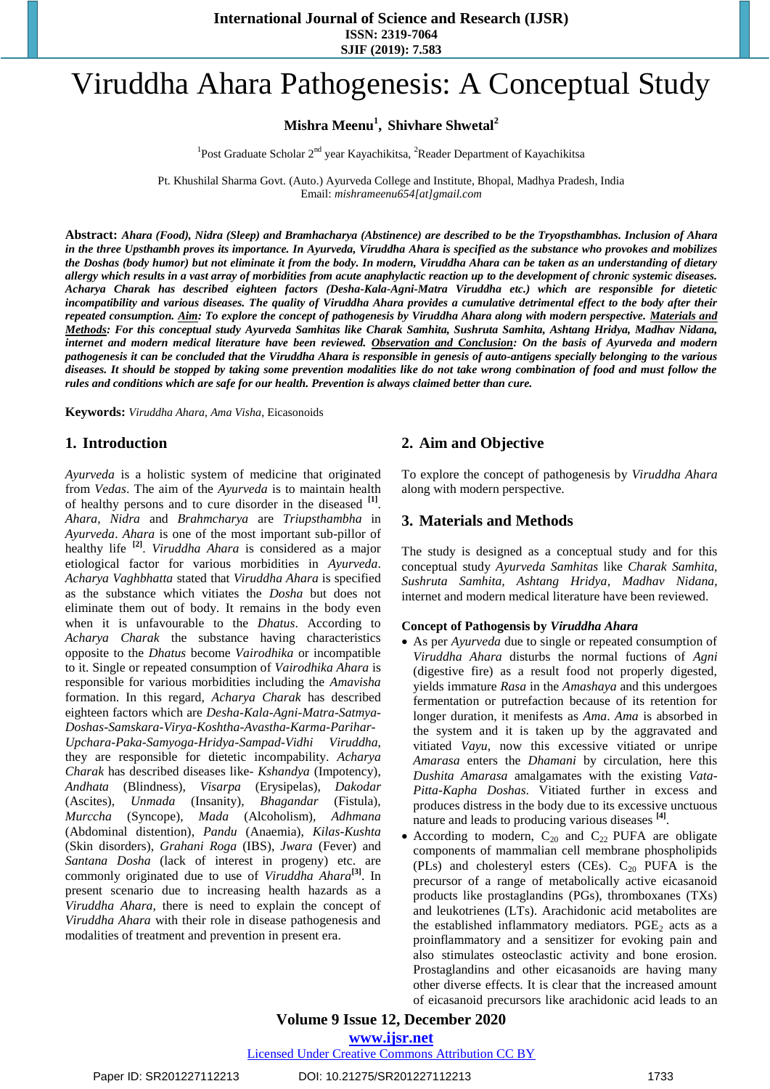**International Journal of Science and Research (IJSR) ISSN: 2319-7064**

**SJIF (2019): 7.583**

# Viruddha Ahara Pathogenesis: A Conceptual Study

**Mishra Meenu<sup>1</sup> , Shivhare Shwetal<sup>2</sup>**

<sup>1</sup>Post Graduate Scholar 2<sup>nd</sup> year Kayachikitsa, <sup>2</sup>Reader Department of Kayachikitsa

Pt. Khushilal Sharma Govt. (Auto.) Ayurveda College and Institute, Bhopal, Madhya Pradesh, India Email: *[mishrameenu654\[at\]gmail.com](mailto:mishrameenu654@gmail.com)*

**Abstract:** *Ahara (Food), Nidra (Sleep) and Bramhacharya (Abstinence) are described to be the Tryopsthambhas. Inclusion of Ahara in the three Upsthambh proves its importance. In Ayurveda, Viruddha Ahara is specified as the substance who provokes and mobilizes the Doshas (body humor) but not eliminate it from the body. In modern, Viruddha Ahara can be taken as an understanding of dietary allergy which results in a vast array of morbidities from acute anaphylactic reaction up to the development of chronic systemic diseases. Acharya Charak has described eighteen factors (Desha-Kala-Agni-Matra Viruddha etc.) which are responsible for dietetic incompatibility and various diseases. The quality of Viruddha Ahara provides a cumulative detrimental effect to the body after their repeated consumption. Aim: To explore the concept of pathogenesis by Viruddha Ahara along with modern perspective. Materials and Methods: For this conceptual study Ayurveda Samhitas like Charak Samhita, Sushruta Samhita, Ashtang Hridya, Madhav Nidana, internet and modern medical literature have been reviewed. Observation and Conclusion: On the basis of Ayurveda and modern pathogenesis it can be concluded that the Viruddha Ahara is responsible in genesis of auto-antigens specially belonging to the various diseases. It should be stopped by taking some prevention modalities like do not take wrong combination of food and must follow the rules and conditions which are safe for our health. Prevention is always claimed better than cure.*

**Keywords:** *Viruddha Ahara*, *Ama Visha*, Eicasonoids

### **1. Introduction**

*Ayurveda* is a holistic system of medicine that originated from *Vedas*. The aim of the *Ayurveda* is to maintain health of healthy persons and to cure disorder in the diseased **[1]** . *Ahara, Nidra* and *Brahmcharya* are *Triupsthambha* in *Ayurveda*. *Ahara* is one of the most important sub-pillor of healthy life **[2]** . *Viruddha Ahara* is considered as a major etiological factor for various morbidities in *Ayurveda*. *Acharya Vaghbhatta* stated that *Viruddha Ahara* is specified as the substance which vitiates the *Dosha* but does not eliminate them out of body. It remains in the body even when it is unfavourable to the *Dhatus*. According to *Acharya Charak* the substance having characteristics opposite to the *Dhatus* become *Vairodhika* or incompatible to it. Single or repeated consumption of *Vairodhika Ahara* is responsible for various morbidities including the *Amavisha* formation. In this regard, *Acharya Charak* has described eighteen factors which are *Desha-Kala-Agni-Matra-Satmya-Doshas-Samskara-Virya-Koshtha-Avastha-Karma-Parihar-Upchara-Paka-Samyoga-Hridya-Sampad-Vidhi Viruddha*, they are responsible for dietetic incompability. *Acharya Charak* has described diseases like- *Kshandya* (Impotency), *Andhata* (Blindness), *Visarpa* (Erysipelas), *Dakodar*  (Ascites), *Unmada* (Insanity), *Bhagandar* (Fistula), *Murccha* (Syncope), *Mada* (Alcoholism), *Adhmana* (Abdominal distention), *Pandu* (Anaemia), *Kilas-Kushta*  (Skin disorders), *Grahani Roga* (IBS), *Jwara* (Fever) and *Santana Dosha* (lack of interest in progeny) etc. are commonly originated due to use of *Viruddha Ahara***[3]** . In present scenario due to increasing health hazards as a *Viruddha Ahara*, there is need to explain the concept of *Viruddha Ahara* with their role in disease pathogenesis and modalities of treatment and prevention in present era.

# **2. Aim and Objective**

To explore the concept of pathogenesis by *Viruddha Ahara* along with modern perspective.

## **3. Materials and Methods**

The study is designed as a conceptual study and for this conceptual study *Ayurveda Samhitas* like *Charak Samhita, Sushruta Samhita, Ashtang Hridya, Madhav Nidana*, internet and modern medical literature have been reviewed.

#### **Concept of Pathogensis by** *Viruddha Ahara*

- As per *Ayurveda* due to single or repeated consumption of *Viruddha Ahara* disturbs the normal fuctions of *Agni* (digestive fire) as a result food not properly digested, yields immature *Rasa* in the *Amashaya* and this undergoes fermentation or putrefaction because of its retention for longer duration, it menifests as *Ama*. *Ama* is absorbed in the system and it is taken up by the aggravated and vitiated *Vayu*, now this excessive vitiated or unripe *Amarasa* enters the *Dhamani* by circulation, here this *Dushita Amarasa* amalgamates with the existing *Vata-Pitta-Kapha Doshas*. Vitiated further in excess and produces distress in the body due to its excessive unctuous nature and leads to producing various diseases **[4]** .
- According to modern,  $C_{20}$  and  $C_{22}$  PUFA are obligate components of mammalian cell membrane phospholipids (PLs) and cholesteryl esters (CEs).  $C_{20}$  PUFA is the precursor of a range of metabolically active eicasanoid products like prostaglandins (PGs), thromboxanes (TXs) and leukotrienes (LTs). Arachidonic acid metabolites are the established inflammatory mediators.  $PGE<sub>2</sub>$  acts as a proinflammatory and a sensitizer for evoking pain and also stimulates osteoclastic activity and bone erosion. Prostaglandins and other eicasanoids are having many other diverse effects. It is clear that the increased amount of eicasanoid precursors like arachidonic acid leads to an

## **Volume 9 Issue 12, December 2020 www.ijsr.net**

Licensed Under Creative Commons Attribution CC BY